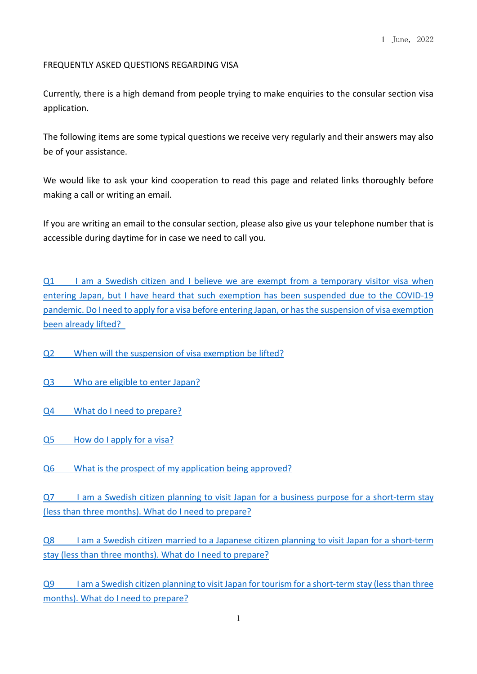# FREQUENTLY ASKED QUESTIONS REGARDING VISA

Currently, there is a high demand from people trying to make enquiries to the consular section visa application.

The following items are some typical questions we receive very regularly and their answers may also be of your assistance.

We would like to ask your kind cooperation to read this page and related links thoroughly before making a call or writing an email.

If you are writing an email to the consular section, please also give us your telephone number that is accessible during daytime for in case we need to call you.

Q1 I am a Swedish citizen and I believe we are exempt from a temporary visitor visa when entering Japan, but I have heard that such exemption has been suspended due to the COVID-19 pandemic. Do I need to apply for a visa before entering Japan, or has the [suspension](#page-1-0) of visa exemption been already lifted?

Q2 When will the [suspension](#page-1-1) of visa exemption be lifted?

- Q3 Who are [eligible](#page-1-2) to enter Japan?
- Q4 What do I need to [prepare?](#page-2-0)
- Q5 How do I [apply](#page-4-0) for a visa?
- Q6 What is the prospect of my [application](#page-5-0) being approved?

Q7 I am a Swedish citizen planning to visit Japan for a business purpose for a [short-term](#page-6-0) stay (less than three months). What do I need to prepare?

Q8 I am a Swedish citizen married to a Japanese citizen planning to visit Japan for a [short-term](#page-7-0) stay (less than three months). What do I need to prepare?

Q9 I am a Swedish citizen planning to visit Japan [fortourism](#page-8-0) for a short-term stay (lessthan three months). What do I need to prepare?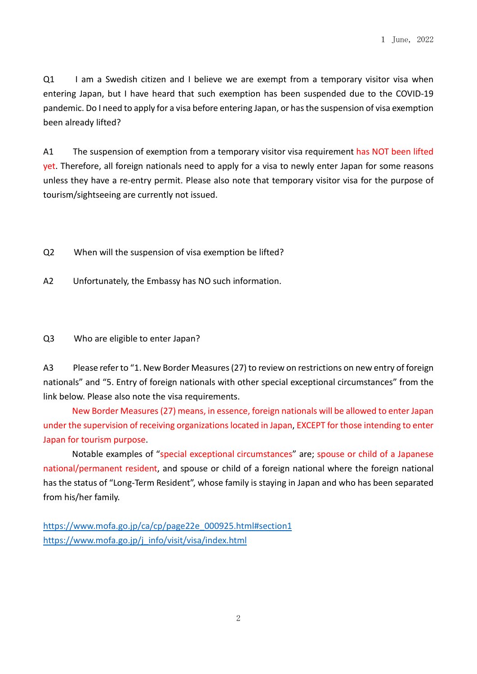<span id="page-1-1"></span><span id="page-1-0"></span>Q1 I am a Swedish citizen and I believe we are exempt from a temporary visitor visa when entering Japan, but I have heard that such exemption has been suspended due to the COVID-19 pandemic. Do I need to apply for a visa before entering Japan, or hasthe suspension of visa exemption been already lifted?

A1 The suspension of exemption from a temporary visitor visa requirement has NOT been lifted yet. Therefore, all foreign nationals need to apply for a visa to newly enter Japan for some reasons unless they have a re-entry permit. Please also note that temporary visitor visa for the purpose of tourism/sightseeing are currently not issued.

- <span id="page-1-2"></span>Q2 When will the suspension of visa exemption be lifted?
- A2 Unfortunately, the Embassy has NO such information.
- Q3 Who are eligible to enter Japan?

A3 Please refer to "1. New Border Measures (27) to review on restrictions on new entry of foreign nationals" and "5. Entry of foreign nationals with other special exceptional circumstances" from the link below. Please also note the visa requirements.

New Border Measures(27) means, in essence, foreign nationals will be allowed to enter Japan under the supervision of receiving organizations located in Japan, EXCEPT for those intending to enter Japan for tourism purpose.

Notable examples of "special exceptional circumstances" are; spouse or child of a Japanese national/permanent resident, and spouse or child of a foreign national where the foreign national has the status of "Long-Term Resident", whose family is staying in Japan and who has been separated from his/her family.

https://www.mofa.go.jp/ca/cp/page22e\_000925.html#section1 https://www.mofa.go.jp/j\_info/visit/visa/index.html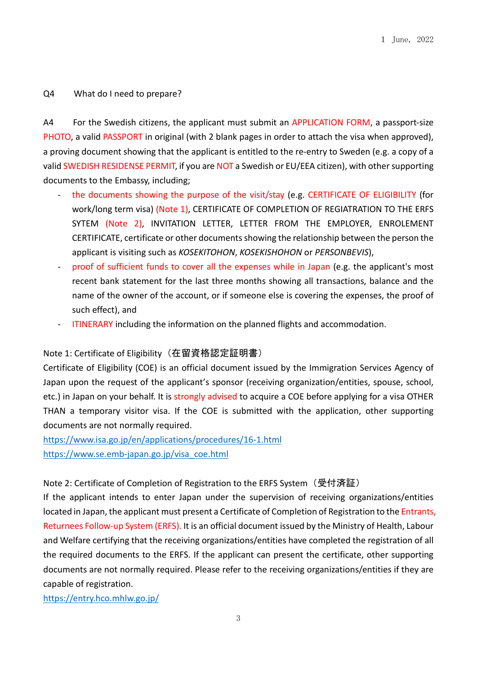# <span id="page-2-0"></span>Q4 What do I need to prepare?

A4 For the Swedish citizens, the applicant must submit an APPLICATION FORM, a passport-size PHOTO, a valid PASSPORT in original (with 2 blank pages in order to attach the visa when approved), a proving document showing that the applicant is entitled to the re-entry to Sweden (e.g. a copy of a valid SWEDISH RESIDENSE PERMIT, if you are NOT a Swedish or EU/EEA citizen), with other supporting documents to the Embassy, including;

- the documents showing the purpose of the visit/stay (e.g. CERTIFICATE OF ELIGIBILITY (for work/long term visa) (Note 1), CERTIFICATE OF COMPLETION OF REGIATRATION TO THE ERFS SYTEM (Note 2), INVITATION LETTER, LETTER FROM THE EMPLOYER, ENROLEMENT CERTIFICATE, certificate or other documentsshowing the relationship between the person the applicant is visiting such as *KOSEKITOHON*, *KOSEKISHOHON* or *PERSONBEVIS*),
- proof of sufficient funds to cover all the expenses while in Japan (e.g. the applicant's most recent bank statement for the last three months showing all transactions, balance and the name of the owner of the account, or if someone else is covering the expenses, the proof of such effect), and
- ITINERARY including the information on the planned flights and accommodation.

# Note 1: Certificate of Eligibility (在留資格認定証明書)

Certificate of Eligibility (COE) is an official document issued by the Immigration Services Agency of Japan upon the request of the applicant's sponsor (receiving organization/entities, spouse, school, etc.) in Japan on your behalf. It is strongly advised to acquire a COE before applying for a visa OTHER THAN a temporary visitor visa. If the COE is submitted with the application, other supporting documents are not normally required.

https://www.isa.go.jp/en/applications/procedures/16-1.html https://www.se.emb-japan.go.jp/visa\_coe.html

### Note 2: Certificate of Completion of Registration to the ERFS System (受付済証)

If the applicant intends to enter Japan under the supervision of receiving organizations/entities located in Japan, the applicant must present a Certificate of Completion of Registration to the Entrants, Returnees Follow-up System (ERFS). It is an official document issued by the Ministry of Health, Labour and Welfare certifying that the receiving organizations/entities have completed the registration of all the required documents to the ERFS. If the applicant can present the certificate, other supporting documents are not normally required. Please refer to the receiving organizations/entities if they are capable of registration.

https://entry.hco.mhlw.go.jp/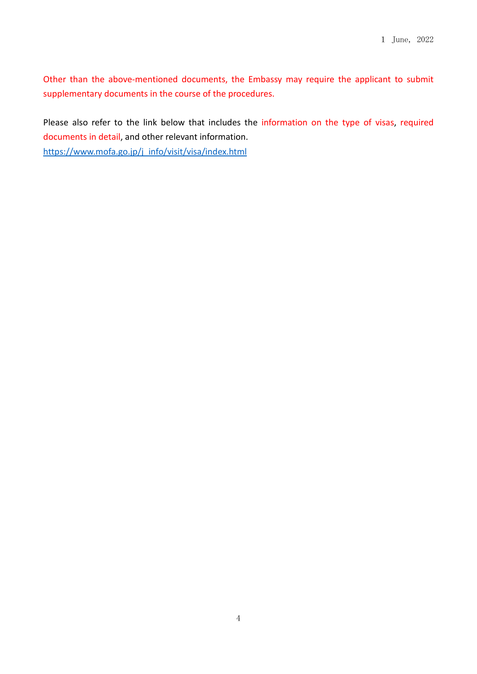Other than the above-mentioned documents, the Embassy may require the applicant to submit supplementary documents in the course of the procedures.

Please also refer to the link below that includes the information on the type of visas, required documents in detail, and other relevant information. https://www.mofa.go.jp/j\_info/visit/visa/index.html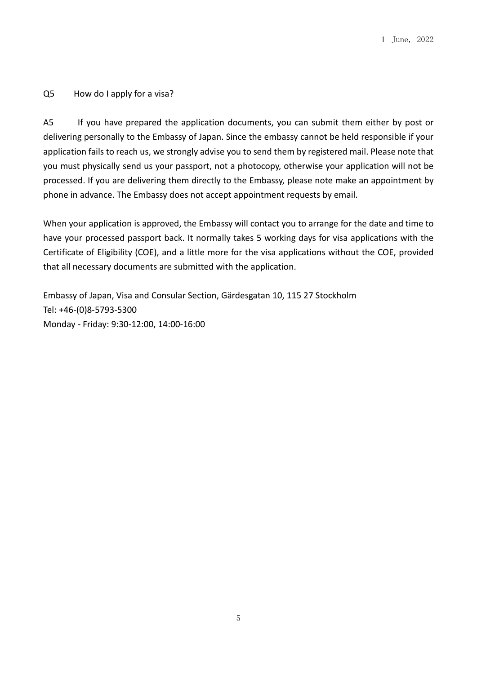# <span id="page-4-0"></span>Q5 How do I apply for a visa?

A5 If you have prepared the application documents, you can submit them either by post or delivering personally to the Embassy of Japan. Since the embassy cannot be held responsible if your application fails to reach us, we strongly advise you to send them by registered mail. Please note that you must physically send us your passport, not a photocopy, otherwise your application will not be processed. If you are delivering them directly to the Embassy, please note make an appointment by phone in advance. The Embassy does not accept appointment requests by email.

When your application is approved, the Embassy will contact you to arrange for the date and time to have your processed passport back. It normally takes 5 working days for visa applications with the Certificate of Eligibility (COE), and a little more for the visa applications without the COE, provided that all necessary documents are submitted with the application.

Embassy of Japan, Visa and Consular Section, Gärdesgatan 10, 115 27 Stockholm Tel: +46-(0)8-5793-5300 Monday - Friday: 9:30-12:00, 14:00-16:00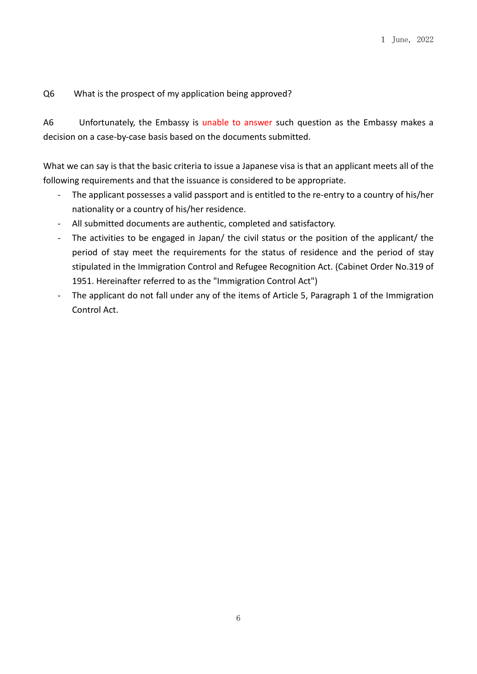# <span id="page-5-0"></span>Q6 What is the prospect of my application being approved?

A6 Unfortunately, the Embassy is unable to answer such question as the Embassy makes a decision on a case-by-case basis based on the documents submitted.

What we can say is that the basic criteria to issue a Japanese visa is that an applicant meets all of the following requirements and that the issuance is considered to be appropriate.

- The applicant possesses a valid passport and is entitled to the re-entry to a country of his/her nationality or a country of his/her residence.
- All submitted documents are authentic, completed and satisfactory.
- The activities to be engaged in Japan/ the civil status or the position of the applicant/ the period of stay meet the requirements for the status of residence and the period of stay stipulated in the Immigration Control and Refugee Recognition Act. (Cabinet Order No.319 of 1951. Hereinafter referred to as the "Immigration Control Act")
- The applicant do not fall under any of the items of Article 5, Paragraph 1 of the Immigration Control Act.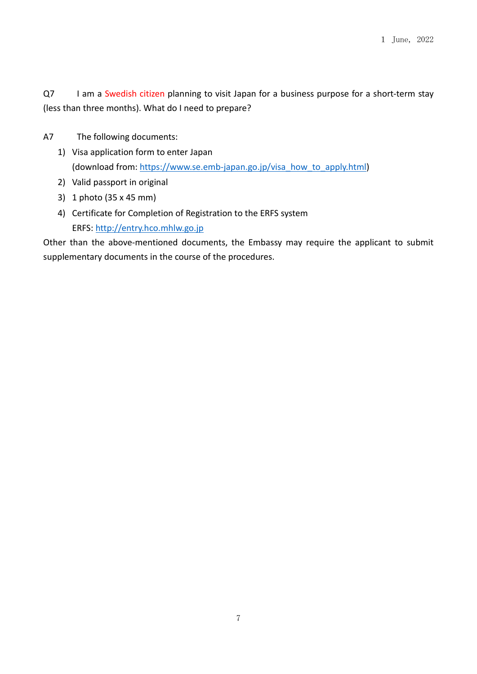<span id="page-6-0"></span>Q7 I am a Swedish citizen planning to visit Japan for a business purpose for a short-term stay (less than three months). What do I need to prepare?

- A7 The following documents:
	- 1) Visa application form to enter Japan (download from: https://www.se.emb-japan.go.jp/visa\_how\_to\_apply.html)
	- 2) Valid passport in original
	- 3) 1 photo (35 x 45 mm)
	- 4) Certificate for Completion of Registration to the ERFS system ERFS: http://entry.hco.mhlw.go.jp

Other than the above-mentioned documents, the Embassy may require the applicant to submit supplementary documents in the course of the procedures.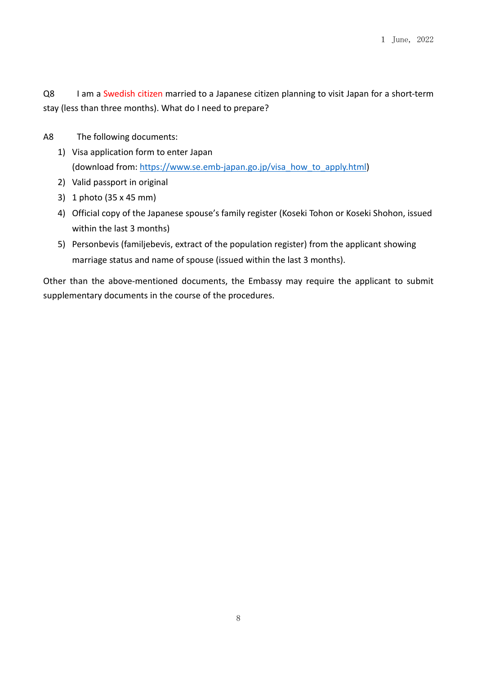<span id="page-7-0"></span>Q8 I am a Swedish citizen married to a Japanese citizen planning to visit Japan for a short-term stay (less than three months). What do I need to prepare?

- A8 The following documents:
	- 1) Visa application form to enter Japan (download from: https://www.se.emb-japan.go.jp/visa\_how\_to\_apply.html)
	- 2) Valid passport in original
	- 3) 1 photo (35 x 45 mm)
	- 4) Official copy of the Japanese spouse's family register (Koseki Tohon or Koseki Shohon, issued within the last 3 months)
	- 5) Personbevis (familjebevis, extract of the population register) from the applicant showing marriage status and name of spouse (issued within the last 3 months).

Other than the above-mentioned documents, the Embassy may require the applicant to submit supplementary documents in the course of the procedures.